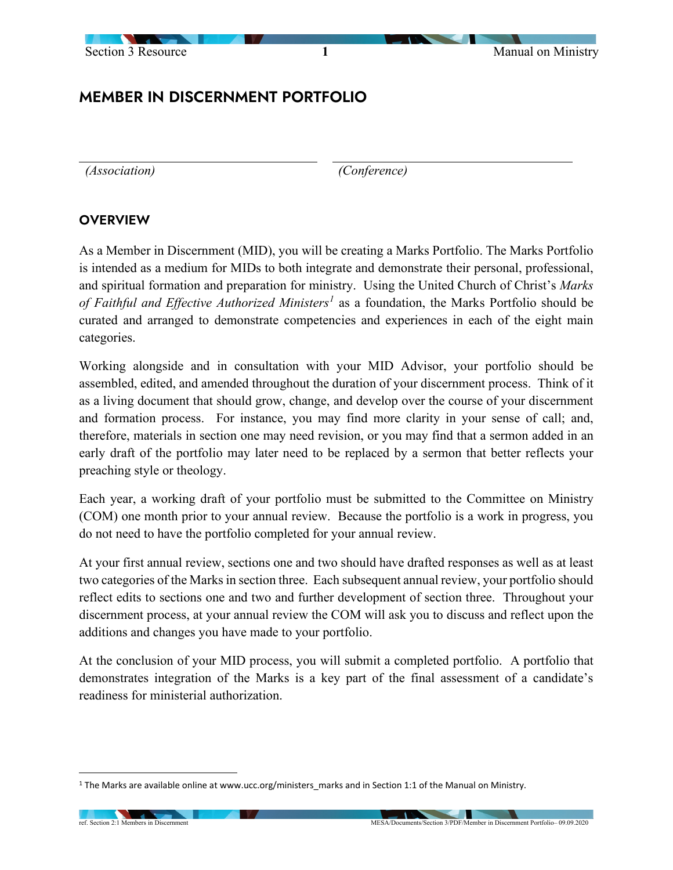

# MEMBER IN DISCERNMENT PORTFOLIO

*(Association) (Conference)*

#### **OVERVIEW**

As a Member in Discernment (MID), you will be creating a Marks Portfolio. The Marks Portfolio is intended as a medium for MIDs to both integrate and demonstrate their personal, professional, and spiritual formation and preparation for ministry. Using the United Church of Christ's *Marks of Faithful and Effective Authorized Ministers[1](#page-0-0)* as a foundation, the Marks Portfolio should be curated and arranged to demonstrate competencies and experiences in each of the eight main categories.

Working alongside and in consultation with your MID Advisor, your portfolio should be assembled, edited, and amended throughout the duration of your discernment process. Think of it as a living document that should grow, change, and develop over the course of your discernment and formation process. For instance, you may find more clarity in your sense of call; and, therefore, materials in section one may need revision, or you may find that a sermon added in an early draft of the portfolio may later need to be replaced by a sermon that better reflects your preaching style or theology.

Each year, a working draft of your portfolio must be submitted to the Committee on Ministry (COM) one month prior to your annual review. Because the portfolio is a work in progress, you do not need to have the portfolio completed for your annual review.

At your first annual review, sections one and two should have drafted responses as well as at least two categories of the Marks in section three. Each subsequent annual review, your portfolio should reflect edits to sections one and two and further development of section three. Throughout your discernment process, at your annual review the COM will ask you to discuss and reflect upon the additions and changes you have made to your portfolio.

At the conclusion of your MID process, you will submit a completed portfolio. A portfolio that demonstrates integration of the Marks is a key part of the final assessment of a candidate's readiness for ministerial authorization.

<span id="page-0-0"></span><sup>1</sup> The Marks are available online at www.ucc.org/ministers\_marks and in Section 1:1 of the Manual on Ministry.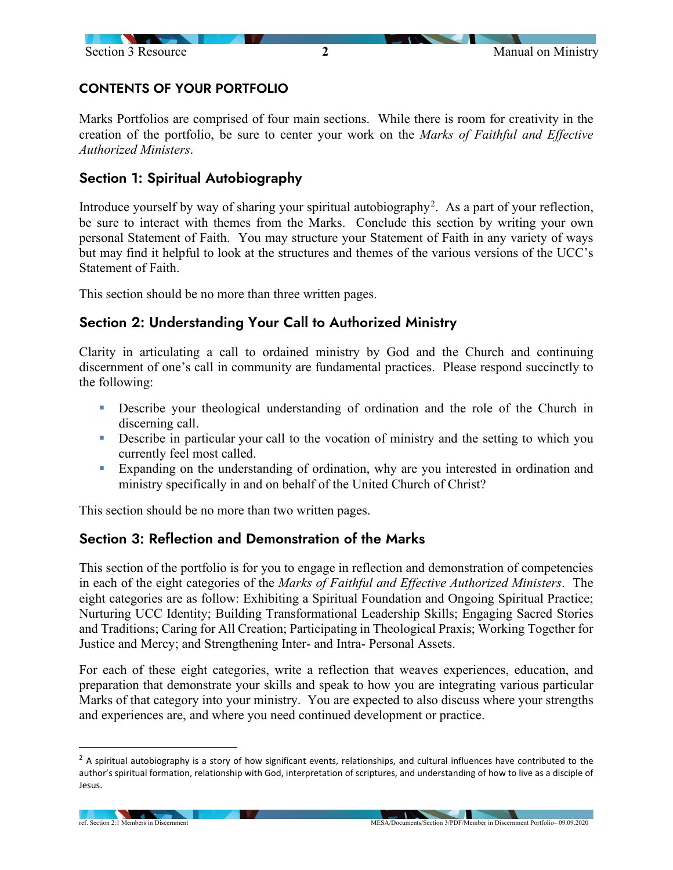

## CONTENTS OF YOUR PORTFOLIO

Marks Portfolios are comprised of four main sections. While there is room for creativity in the creation of the portfolio, be sure to center your work on the *Marks of Faithful and Effective Authorized Ministers*.

### Section 1: Spiritual Autobiography

Introduce yourself by way of sharing your spiritual autobiography<sup>[2](#page-1-0)</sup>. As a part of your reflection, be sure to interact with themes from the Marks. Conclude this section by writing your own personal Statement of Faith. You may structure your Statement of Faith in any variety of ways but may find it helpful to look at the structures and themes of the various versions of the UCC's Statement of Faith.

This section should be no more than three written pages.

### Section 2: Understanding Your Call to Authorized Ministry

Clarity in articulating a call to ordained ministry by God and the Church and continuing discernment of one's call in community are fundamental practices. Please respond succinctly to the following:

- Describe your theological understanding of ordination and the role of the Church in discerning call.
- **•** Describe in particular your call to the vocation of ministry and the setting to which you currently feel most called.
- Expanding on the understanding of ordination, why are you interested in ordination and ministry specifically in and on behalf of the United Church of Christ?

This section should be no more than two written pages.

### Section 3: Reflection and Demonstration of the Marks

This section of the portfolio is for you to engage in reflection and demonstration of competencies in each of the eight categories of the *Marks of Faithful and Effective Authorized Ministers*. The eight categories are as follow: Exhibiting a Spiritual Foundation and Ongoing Spiritual Practice; Nurturing UCC Identity; Building Transformational Leadership Skills; Engaging Sacred Stories and Traditions; Caring for All Creation; Participating in Theological Praxis; Working Together for Justice and Mercy; and Strengthening Inter- and Intra- Personal Assets.

For each of these eight categories, write a reflection that weaves experiences, education, and preparation that demonstrate your skills and speak to how you are integrating various particular Marks of that category into your ministry. You are expected to also discuss where your strengths and experiences are, and where you need continued development or practice.

<span id="page-1-0"></span> $<sup>2</sup>$  A spiritual autobiography is a story of how significant events, relationships, and cultural influences have contributed to the</sup> author's spiritual formation, relationship with God, interpretation of scriptures, and understanding of how to live as a disciple of Jesus.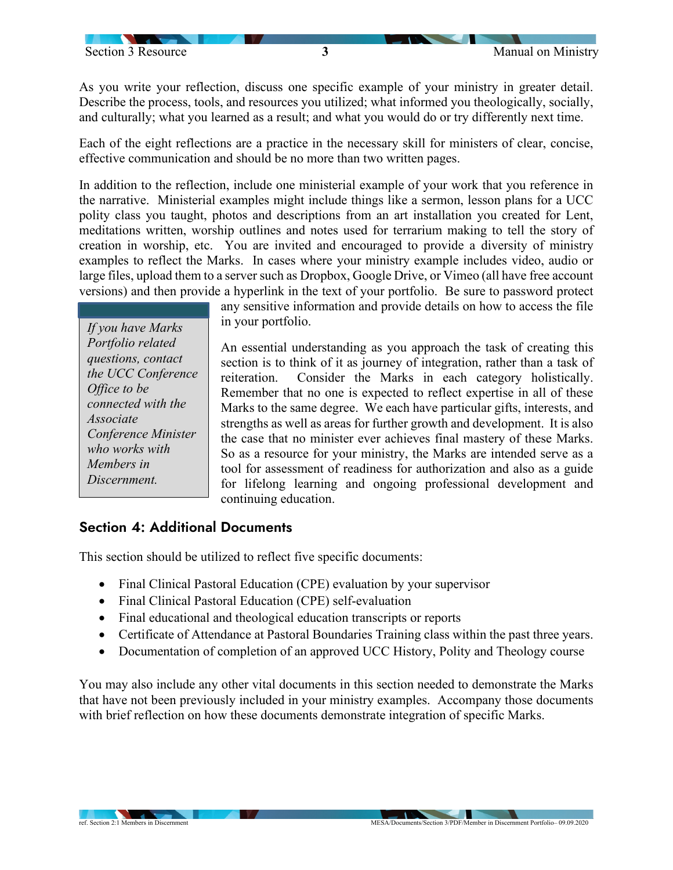As you write your reflection, discuss one specific example of your ministry in greater detail. Describe the process, tools, and resources you utilized; what informed you theologically, socially, and culturally; what you learned as a result; and what you would do or try differently next time.

Each of the eight reflections are a practice in the necessary skill for ministers of clear, concise, effective communication and should be no more than two written pages.

In addition to the reflection, include one ministerial example of your work that you reference in the narrative. Ministerial examples might include things like a sermon, lesson plans for a UCC polity class you taught, photos and descriptions from an art installation you created for Lent, meditations written, worship outlines and notes used for terrarium making to tell the story of creation in worship, etc. You are invited and encouraged to provide a diversity of ministry examples to reflect the Marks. In cases where your ministry example includes video, audio or large files, upload them to a server such as Dropbox, Google Drive, or Vimeo (all have free account versions) and then provide a hyperlink in the text of your portfolio. Be sure to password protect

*If you have Marks Portfolio related questions, contact the UCC Conference Office to be connected with the Associate Conference Minister who works with Members in Discernment.*

any sensitive information and provide details on how to access the file in your portfolio.

An essential understanding as you approach the task of creating this section is to think of it as journey of integration, rather than a task of reiteration. Consider the Marks in each category holistically. Remember that no one is expected to reflect expertise in all of these Marks to the same degree. We each have particular gifts, interests, and strengths as well as areas for further growth and development. It is also the case that no minister ever achieves final mastery of these Marks. So as a resource for your ministry, the Marks are intended serve as a tool for assessment of readiness for authorization and also as a guide for lifelong learning and ongoing professional development and continuing education.

### Section 4: Additional Documents

This section should be utilized to reflect five specific documents:

- Final Clinical Pastoral Education (CPE) evaluation by your supervisor
- Final Clinical Pastoral Education (CPE) self-evaluation
- Final educational and theological education transcripts or reports
- Certificate of Attendance at Pastoral Boundaries Training class within the past three years.
- Documentation of completion of an approved UCC History, Polity and Theology course

You may also include any other vital documents in this section needed to demonstrate the Marks that have not been previously included in your ministry examples. Accompany those documents with brief reflection on how these documents demonstrate integration of specific Marks.